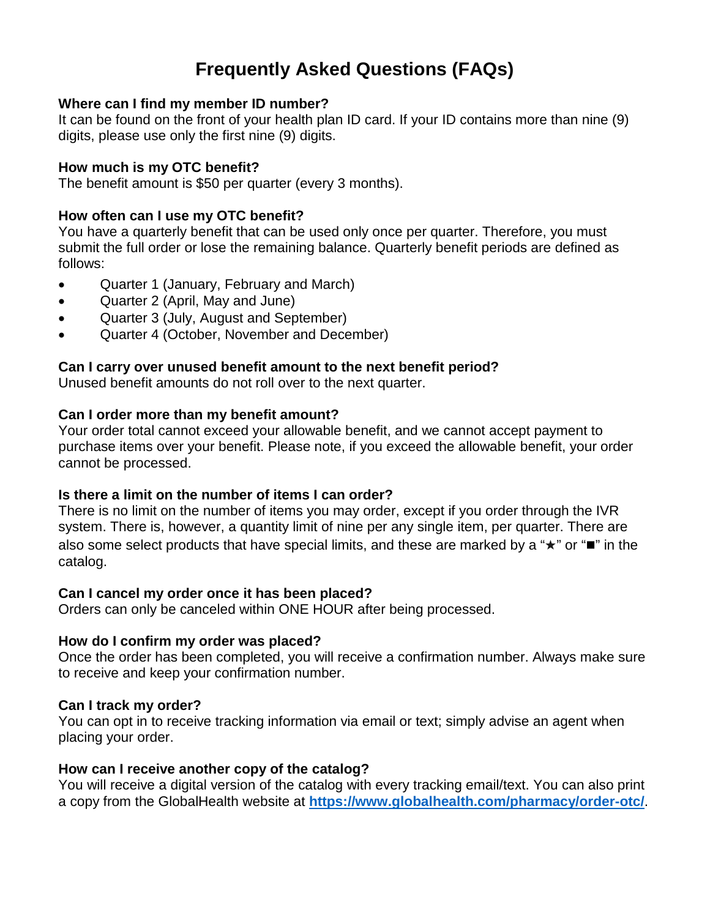# **Frequently Asked Questions (FAQs)**

# **Where can I find my member ID number?**

It can be found on the front of your health plan ID card. If your ID contains more than nine (9) digits, please use only the first nine (9) digits.

# **How much is my OTC benefit?**

The benefit amount is \$50 per quarter (every 3 months).

# **How often can I use my OTC benefit?**

You have a quarterly benefit that can be used only once per quarter. Therefore, you must submit the full order or lose the remaining balance. Quarterly benefit periods are defined as follows:

- Quarter 1 (January, February and March)
- Quarter 2 (April, May and June)
- Quarter 3 (July, August and September)
- Quarter 4 (October, November and December)

# **Can I carry over unused benefit amount to the next benefit period?**

Unused benefit amounts do not roll over to the next quarter.

#### **Can I order more than my benefit amount?**

Your order total cannot exceed your allowable benefit, and we cannot accept payment to purchase items over your benefit. Please note, if you exceed the allowable benefit, your order cannot be processed.

#### **Is there a limit on the number of items I can order?**

There is no limit on the number of items you may order, except if you order through the IVR system. There is, however, a quantity limit of nine per any single item, per quarter. There are also some select products that have special limits, and these are marked by a "★" or "■" in the catalog.

#### **Can I cancel my order once it has been placed?**

Orders can only be canceled within ONE HOUR after being processed.

#### **How do I confirm my order was placed?**

Once the order has been completed, you will receive a confirmation number. Always make sure to receive and keep your confirmation number.

#### **Can I track my order?**

You can opt in to receive tracking information via email or text; simply advise an agent when placing your order.

#### **How can I receive another copy of the catalog?**

You will receive a digital version of the catalog with every tracking email/text. You can also print a copy from the GlobalHealth website at **<https://www.globalhealth.com/pharmacy/order-otc/>**.